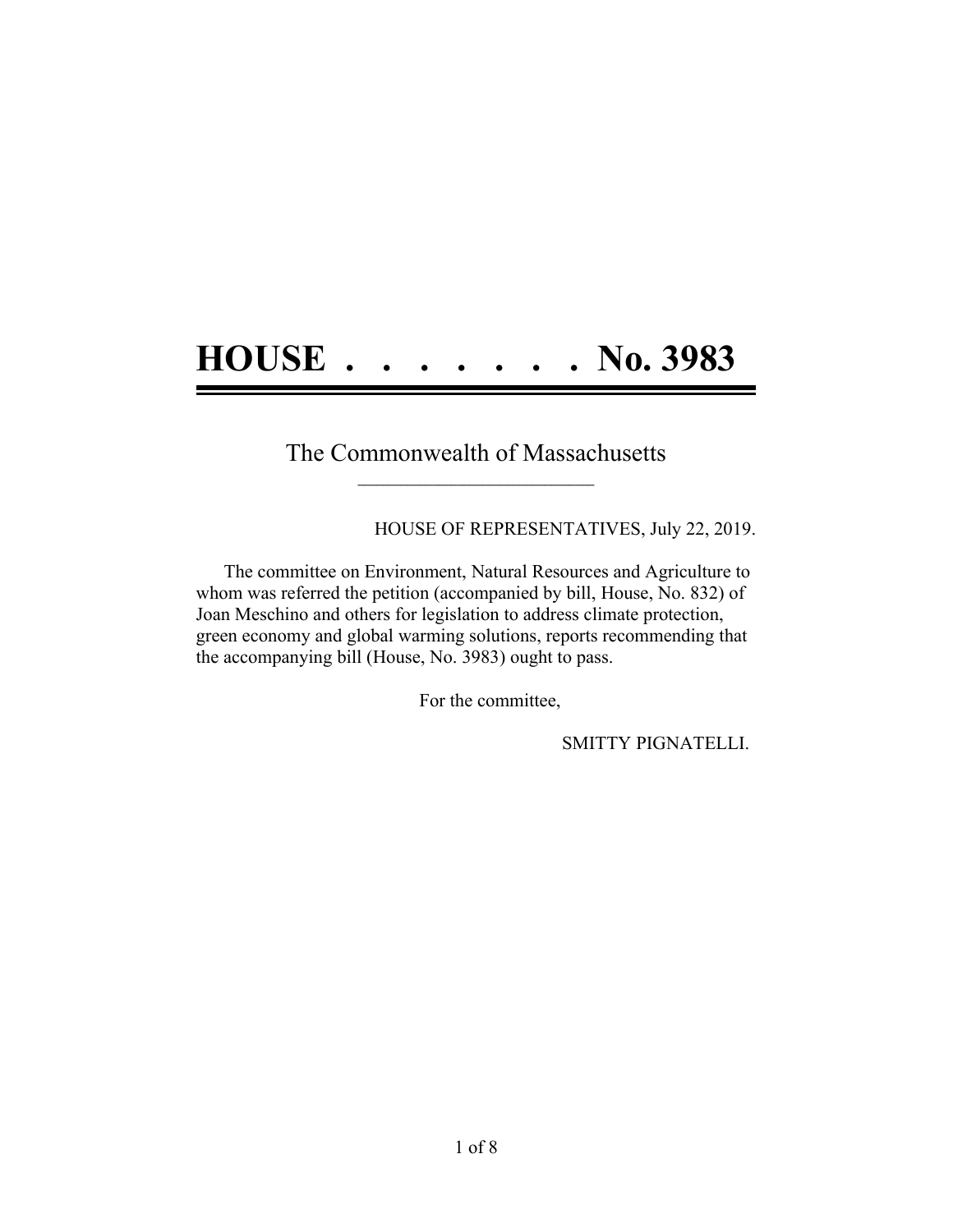## **HOUSE . . . . . . . No. 3983**

## The Commonwealth of Massachusetts **\_\_\_\_\_\_\_\_\_\_\_\_\_\_\_\_\_\_\_\_\_\_\_\_\_\_\_\_\_\_\_\_\_\_\_\_\_\_**

HOUSE OF REPRESENTATIVES, July 22, 2019.

The committee on Environment, Natural Resources and Agriculture to whom was referred the petition (accompanied by bill, House, No. 832) of Joan Meschino and others for legislation to address climate protection, green economy and global warming solutions, reports recommending that the accompanying bill (House, No. 3983) ought to pass.

For the committee,

SMITTY PIGNATELLI.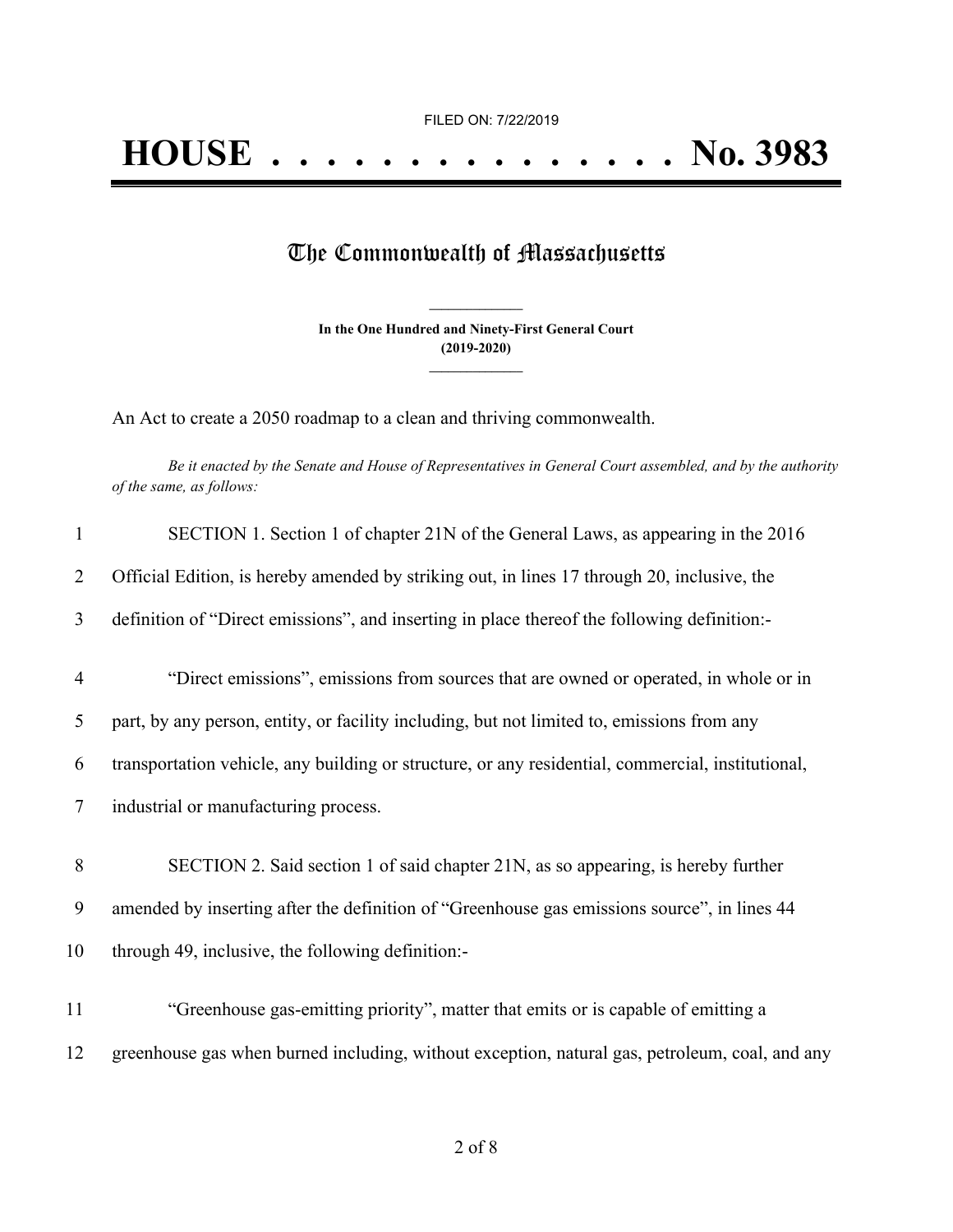## The Commonwealth of Massachusetts

**In the One Hundred and Ninety-First General Court (2019-2020) \_\_\_\_\_\_\_\_\_\_\_\_\_\_\_**

**\_\_\_\_\_\_\_\_\_\_\_\_\_\_\_**

An Act to create a 2050 roadmap to a clean and thriving commonwealth.

Be it enacted by the Senate and House of Representatives in General Court assembled, and by the authority *of the same, as follows:*

| $\mathbf{1}$   | SECTION 1. Section 1 of chapter 21N of the General Laws, as appearing in the 2016                 |
|----------------|---------------------------------------------------------------------------------------------------|
| $\overline{2}$ | Official Edition, is hereby amended by striking out, in lines 17 through 20, inclusive, the       |
| 3              | definition of "Direct emissions", and inserting in place thereof the following definition:-       |
| $\overline{4}$ | "Direct emissions", emissions from sources that are owned or operated, in whole or in             |
| 5              | part, by any person, entity, or facility including, but not limited to, emissions from any        |
| 6              | transportation vehicle, any building or structure, or any residential, commercial, institutional, |
| 7              | industrial or manufacturing process.                                                              |
| 8              | SECTION 2. Said section 1 of said chapter 21N, as so appearing, is hereby further                 |
| 9              | amended by inserting after the definition of "Greenhouse gas emissions source", in lines 44       |
| 10             | through 49, inclusive, the following definition:-                                                 |
| 11             | "Greenhouse gas-emitting priority", matter that emits or is capable of emitting a                 |
| 12             | greenhouse gas when burned including, without exception, natural gas, petroleum, coal, and any    |
|                |                                                                                                   |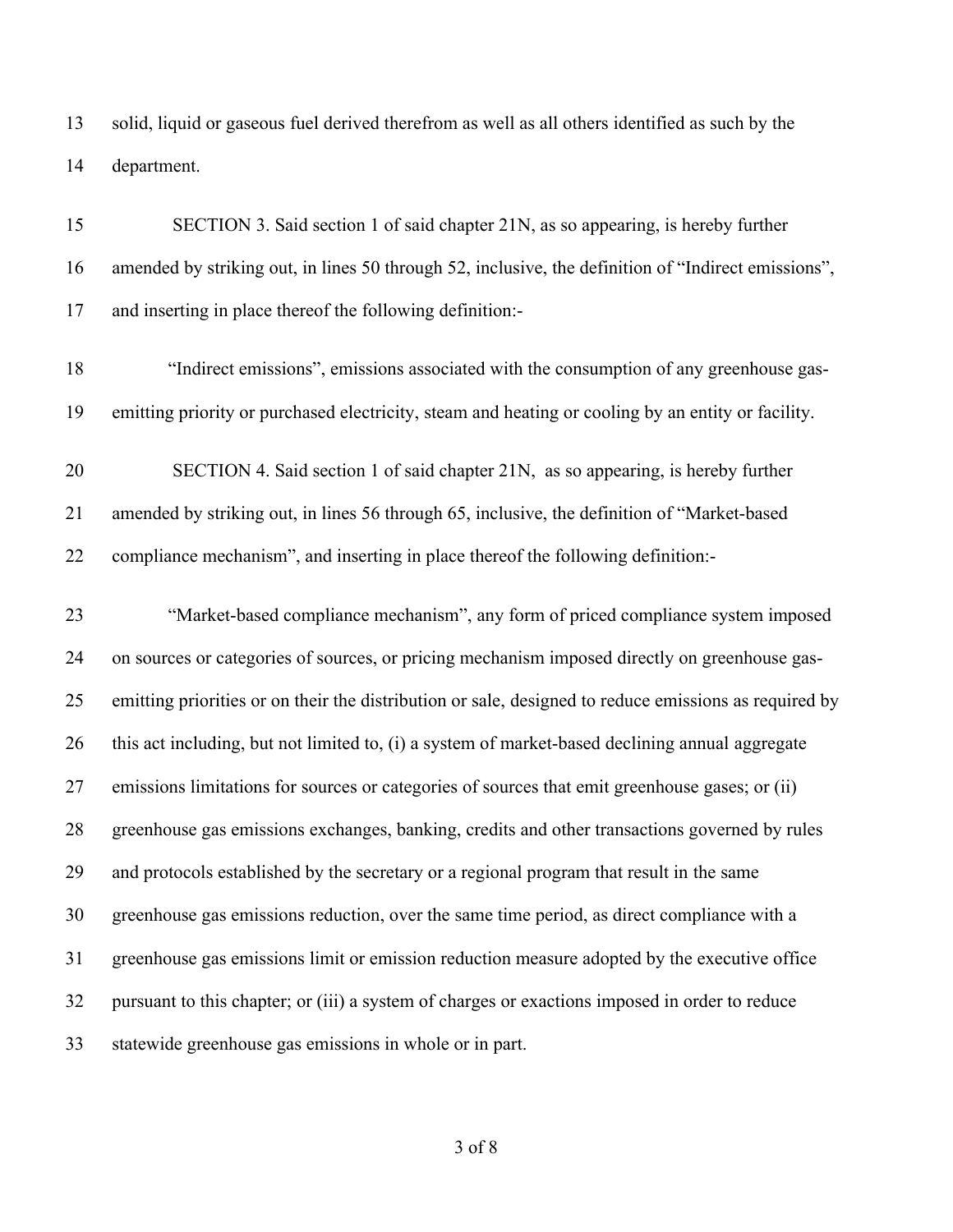solid, liquid or gaseous fuel derived therefrom as well as all others identified as such by the department.

| 15 | SECTION 3. Said section 1 of said chapter 21N, as so appearing, is hereby further                     |
|----|-------------------------------------------------------------------------------------------------------|
| 16 | amended by striking out, in lines 50 through 52, inclusive, the definition of "Indirect emissions",   |
| 17 | and inserting in place thereof the following definition:-                                             |
| 18 | "Indirect emissions", emissions associated with the consumption of any greenhouse gas-                |
| 19 | emitting priority or purchased electricity, steam and heating or cooling by an entity or facility.    |
| 20 | SECTION 4. Said section 1 of said chapter 21N, as so appearing, is hereby further                     |
| 21 | amended by striking out, in lines 56 through 65, inclusive, the definition of "Market-based"          |
| 22 | compliance mechanism", and inserting in place thereof the following definition:-                      |
| 23 | "Market-based compliance mechanism", any form of priced compliance system imposed                     |
| 24 | on sources or categories of sources, or pricing mechanism imposed directly on greenhouse gas-         |
| 25 | emitting priorities or on their the distribution or sale, designed to reduce emissions as required by |
| 26 | this act including, but not limited to, (i) a system of market-based declining annual aggregate       |
| 27 | emissions limitations for sources or categories of sources that emit greenhouse gases; or (ii)        |
| 28 | greenhouse gas emissions exchanges, banking, credits and other transactions governed by rules         |
| 29 | and protocols established by the secretary or a regional program that result in the same              |
| 30 | greenhouse gas emissions reduction, over the same time period, as direct compliance with a            |
| 31 | greenhouse gas emissions limit or emission reduction measure adopted by the executive office          |
| 32 | pursuant to this chapter; or (iii) a system of charges or exactions imposed in order to reduce        |
| 33 | statewide greenhouse gas emissions in whole or in part.                                               |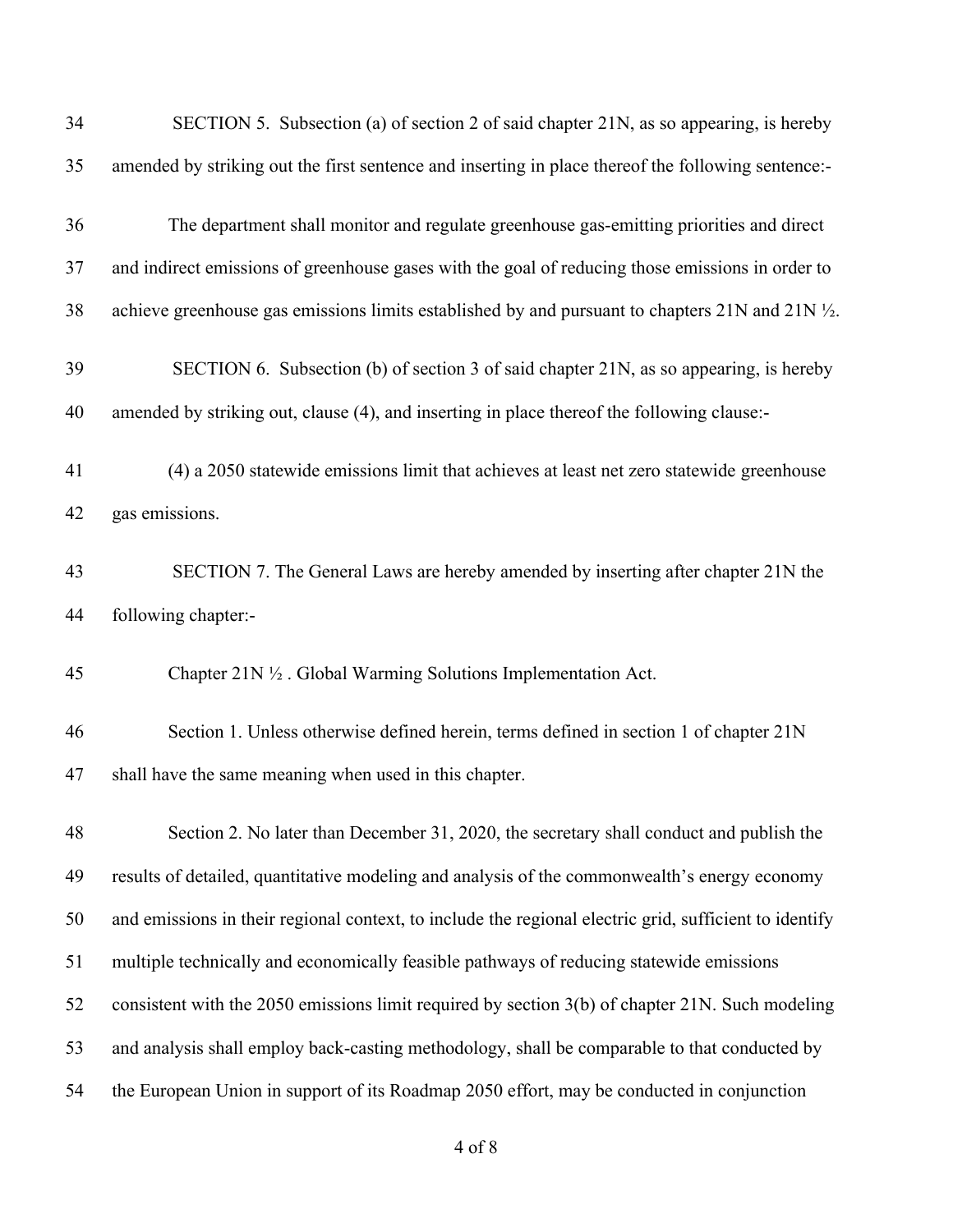| 34 | SECTION 5. Subsection (a) of section 2 of said chapter 21N, as so appearing, is hereby                 |
|----|--------------------------------------------------------------------------------------------------------|
| 35 | amended by striking out the first sentence and inserting in place thereof the following sentence:-     |
| 36 | The department shall monitor and regulate greenhouse gas-emitting priorities and direct                |
| 37 | and indirect emissions of greenhouse gases with the goal of reducing those emissions in order to       |
| 38 | achieve greenhouse gas emissions limits established by and pursuant to chapters 21N and 21N 1/2.       |
| 39 | SECTION 6. Subsection (b) of section 3 of said chapter 21N, as so appearing, is hereby                 |
| 40 | amended by striking out, clause (4), and inserting in place thereof the following clause:-             |
| 41 | (4) a 2050 statewide emissions limit that achieves at least net zero statewide greenhouse              |
| 42 | gas emissions.                                                                                         |
| 43 | SECTION 7. The General Laws are hereby amended by inserting after chapter 21N the                      |
| 44 | following chapter:-                                                                                    |
| 45 | Chapter 21N 1/2 . Global Warming Solutions Implementation Act.                                         |
| 46 | Section 1. Unless otherwise defined herein, terms defined in section 1 of chapter 21N                  |
| 47 | shall have the same meaning when used in this chapter.                                                 |
| 48 | Section 2. No later than December 31, 2020, the secretary shall conduct and publish the                |
| 49 | results of detailed, quantitative modeling and analysis of the commonwealth's energy economy           |
| 50 | and emissions in their regional context, to include the regional electric grid, sufficient to identify |
| 51 | multiple technically and economically feasible pathways of reducing statewide emissions                |
| 52 | consistent with the 2050 emissions limit required by section 3(b) of chapter 21N. Such modeling        |
| 53 | and analysis shall employ back-casting methodology, shall be comparable to that conducted by           |
| 54 | the European Union in support of its Roadmap 2050 effort, may be conducted in conjunction              |
|    |                                                                                                        |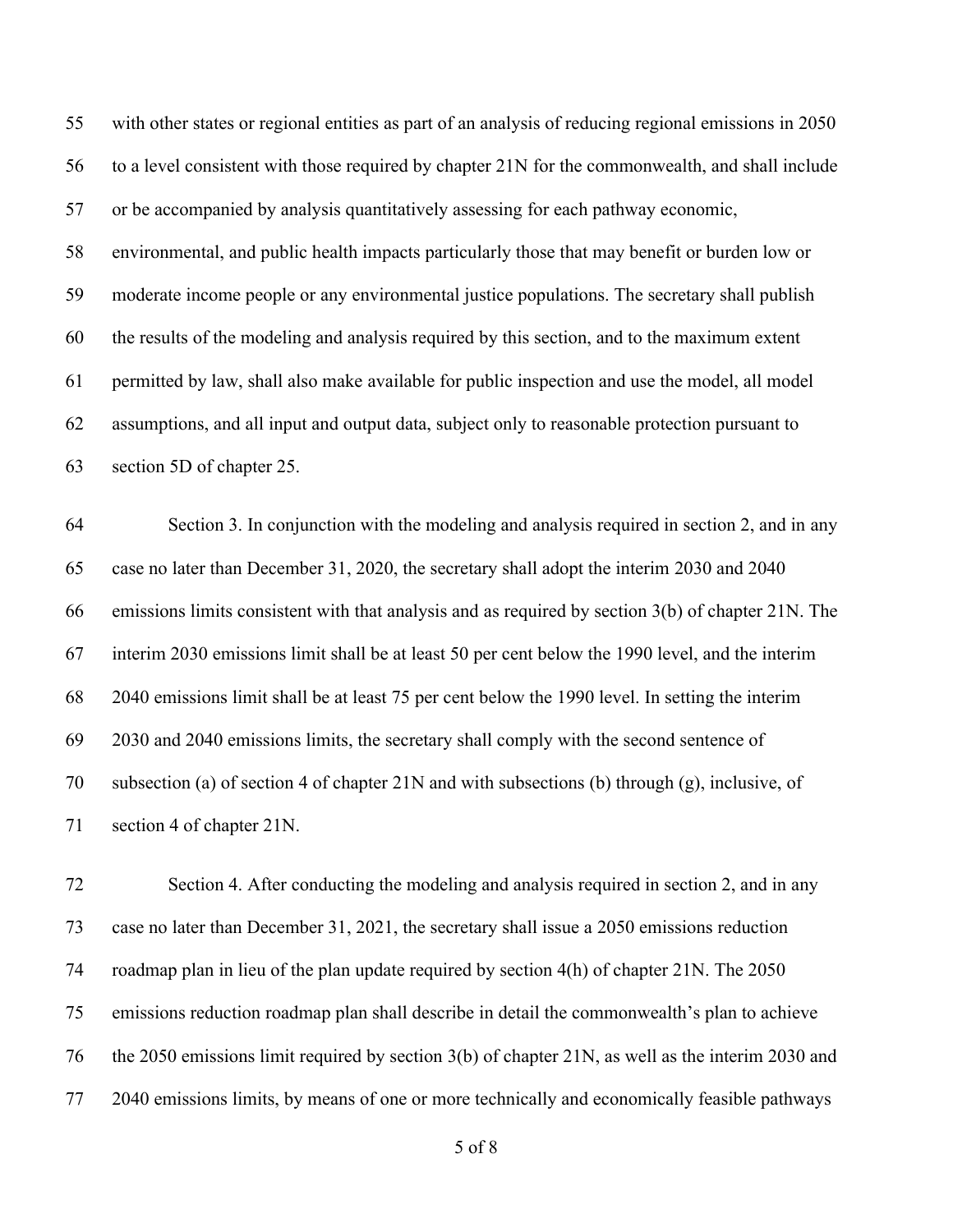with other states or regional entities as part of an analysis of reducing regional emissions in 2050 to a level consistent with those required by chapter 21N for the commonwealth, and shall include or be accompanied by analysis quantitatively assessing for each pathway economic, environmental, and public health impacts particularly those that may benefit or burden low or moderate income people or any environmental justice populations. The secretary shall publish

 the results of the modeling and analysis required by this section, and to the maximum extent permitted by law, shall also make available for public inspection and use the model, all model assumptions, and all input and output data, subject only to reasonable protection pursuant to section 5D of chapter 25.

 Section 3. In conjunction with the modeling and analysis required in section 2, and in any case no later than December 31, 2020, the secretary shall adopt the interim 2030 and 2040 emissions limits consistent with that analysis and as required by section 3(b) of chapter 21N. The interim 2030 emissions limit shall be at least 50 per cent below the 1990 level, and the interim 2040 emissions limit shall be at least 75 per cent below the 1990 level. In setting the interim 2030 and 2040 emissions limits, the secretary shall comply with the second sentence of subsection (a) of section 4 of chapter 21N and with subsections (b) through (g), inclusive, of section 4 of chapter 21N.

 Section 4. After conducting the modeling and analysis required in section 2, and in any case no later than December 31, 2021, the secretary shall issue a 2050 emissions reduction roadmap plan in lieu of the plan update required by section 4(h) of chapter 21N. The 2050 emissions reduction roadmap plan shall describe in detail the commonwealth's plan to achieve the 2050 emissions limit required by section 3(b) of chapter 21N, as well as the interim 2030 and 2040 emissions limits, by means of one or more technically and economically feasible pathways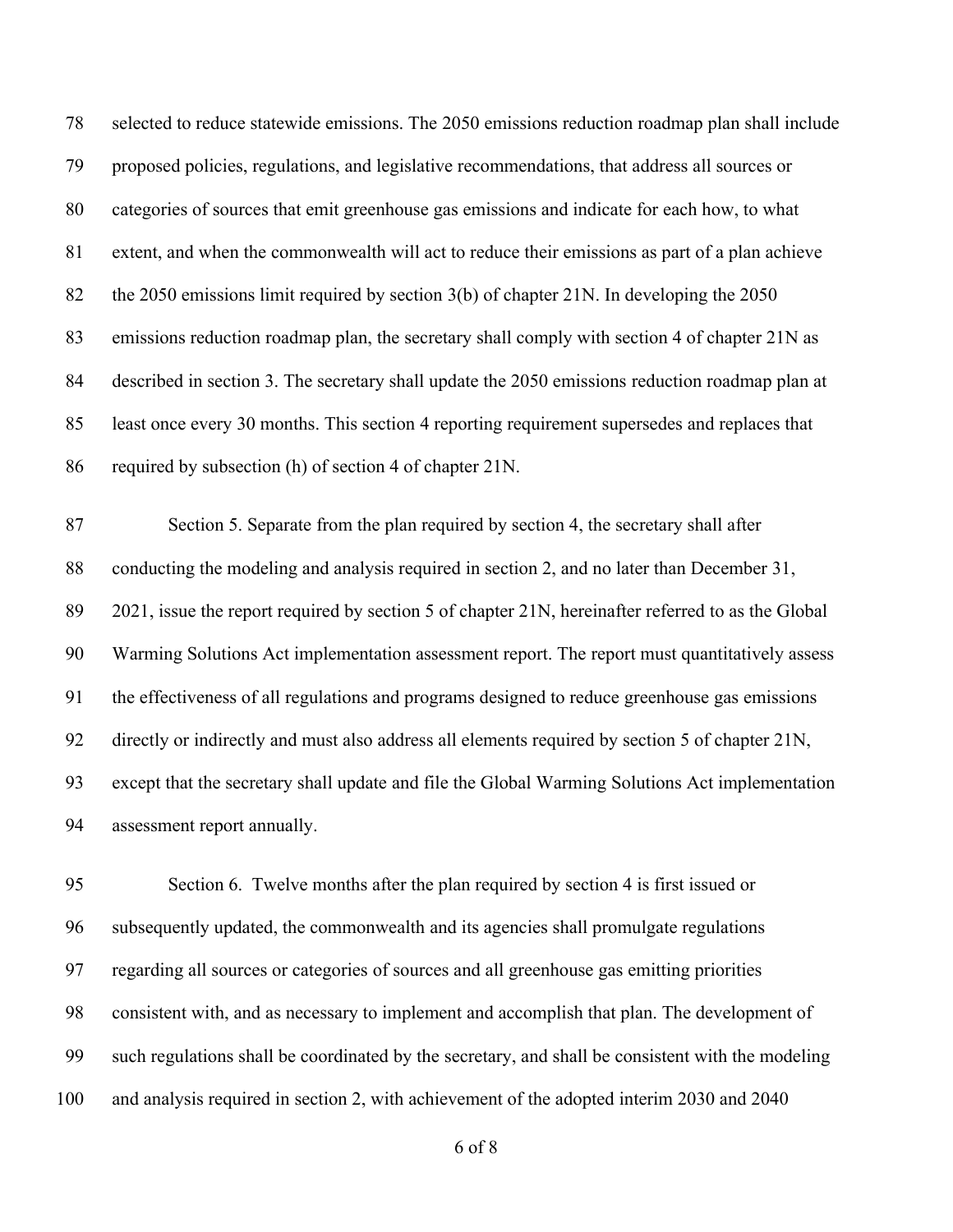| 78 | selected to reduce statewide emissions. The 2050 emissions reduction roadmap plan shall include    |
|----|----------------------------------------------------------------------------------------------------|
| 79 | proposed policies, regulations, and legislative recommendations, that address all sources or       |
| 80 | categories of sources that emit greenhouse gas emissions and indicate for each how, to what        |
| 81 | extent, and when the commonwealth will act to reduce their emissions as part of a plan achieve     |
| 82 | the 2050 emissions limit required by section 3(b) of chapter 21N. In developing the 2050           |
| 83 | emissions reduction roadmap plan, the secretary shall comply with section 4 of chapter 21N as      |
| 84 | described in section 3. The secretary shall update the 2050 emissions reduction roadmap plan at    |
| 85 | least once every 30 months. This section 4 reporting requirement supersedes and replaces that      |
| 86 | required by subsection (h) of section 4 of chapter 21N.                                            |
| 87 | Section 5. Separate from the plan required by section 4, the secretary shall after                 |
| 88 | conducting the modeling and analysis required in section 2, and no later than December 31,         |
| 89 | 2021, issue the report required by section 5 of chapter 21N, hereinafter referred to as the Global |
|    |                                                                                                    |
| 90 | Warming Solutions Act implementation assessment report. The report must quantitatively assess      |
| 91 | the effectiveness of all regulations and programs designed to reduce greenhouse gas emissions      |
| 92 | directly or indirectly and must also address all elements required by section 5 of chapter 21N,    |
| 93 | except that the secretary shall update and file the Global Warming Solutions Act implementation    |
| 94 | assessment report annually.                                                                        |

 Section 6. Twelve months after the plan required by section 4 is first issued or subsequently updated, the commonwealth and its agencies shall promulgate regulations regarding all sources or categories of sources and all greenhouse gas emitting priorities consistent with, and as necessary to implement and accomplish that plan. The development of such regulations shall be coordinated by the secretary, and shall be consistent with the modeling and analysis required in section 2, with achievement of the adopted interim 2030 and 2040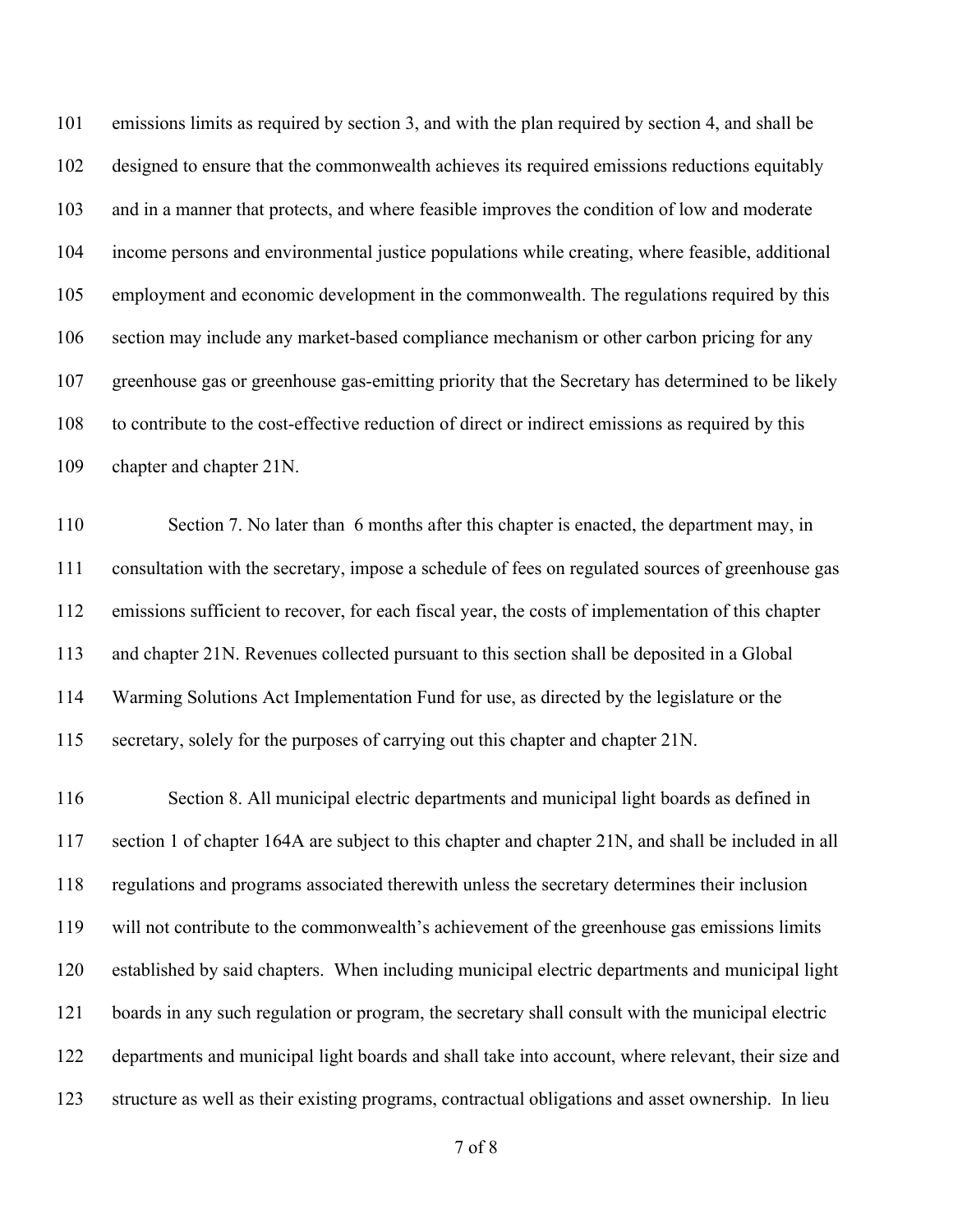emissions limits as required by section 3, and with the plan required by section 4, and shall be designed to ensure that the commonwealth achieves its required emissions reductions equitably and in a manner that protects, and where feasible improves the condition of low and moderate income persons and environmental justice populations while creating, where feasible, additional employment and economic development in the commonwealth. The regulations required by this section may include any market-based compliance mechanism or other carbon pricing for any greenhouse gas or greenhouse gas-emitting priority that the Secretary has determined to be likely to contribute to the cost-effective reduction of direct or indirect emissions as required by this chapter and chapter 21N.

 Section 7. No later than 6 months after this chapter is enacted, the department may, in consultation with the secretary, impose a schedule of fees on regulated sources of greenhouse gas emissions sufficient to recover, for each fiscal year, the costs of implementation of this chapter and chapter 21N. Revenues collected pursuant to this section shall be deposited in a Global Warming Solutions Act Implementation Fund for use, as directed by the legislature or the secretary, solely for the purposes of carrying out this chapter and chapter 21N.

 Section 8. All municipal electric departments and municipal light boards as defined in section 1 of chapter 164A are subject to this chapter and chapter 21N, and shall be included in all regulations and programs associated therewith unless the secretary determines their inclusion will not contribute to the commonwealth's achievement of the greenhouse gas emissions limits established by said chapters. When including municipal electric departments and municipal light boards in any such regulation or program, the secretary shall consult with the municipal electric departments and municipal light boards and shall take into account, where relevant, their size and structure as well as their existing programs, contractual obligations and asset ownership. In lieu